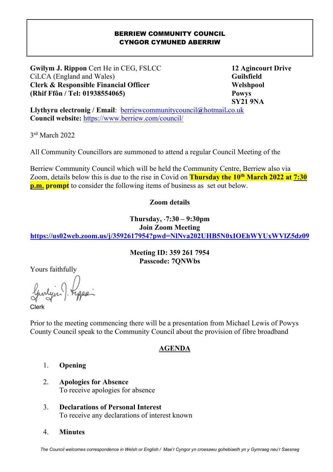#### BERRIEW COMMUNITY COUNCIL CYNGOR CYMUNED ABERRIW

**Gwilym J. Rippon** Cert He in CEG, FSLCC 12 Agincourt Drive CiLCA (England and Wales) **Guilsfield Clerk & Responsible Financial Officer Welshpool Welshpool (Rhif Ffôn / Tel: 01938554065) Powys** 

 **SY21 9NA** 

**Llythyru electronig / Email**: berriewcommunitycouncil**@**hotmail**.**co.uk **Council website:** https://www.berriew.com/council/

3 rd March 2022

I

All Community Councillors are summoned to attend a regular Council Meeting of the

Berriew Community Council which will be held the Community Centre, Berriew also via Zoom, details below this is due to the rise in Covid on **Thursday the 10th March 2022 at 7:30 p.m. prompt** to consider the following items of business as set out below.

#### **Zoom details**

**Thursday,** ⋅**7:30 – 9:30pm** 

**Join Zoom Meeting** 

**https://us02web.zoom.us/j/3592617954?pwd=NlNva202UHB5N0xIOEhWYUxWVlZ5dz09**

**Meeting ID: 359 261 7954 Passcode: 7QNWbs** 

Yours faithfully

Clerk

Prior to the meeting commencing there will be a presentation from Michael Lewis of Powys County Council speak to the Community Council about the provision of fibre broadband

#### **AGENDA**

- 1. **Opening**
- 2. **Apologies for Absence**  To receive apologies for absence
- 3. **Declarations of Personal Interest**  To receive any declarations of interest known
- 4. **Minutes**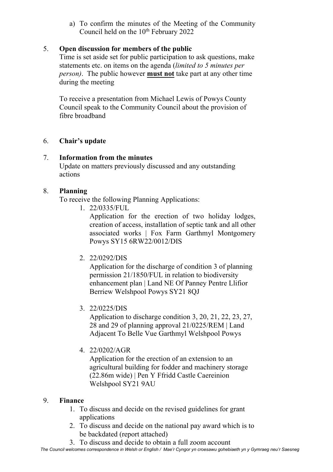a) To confirm the minutes of the Meeting of the Community Council held on the 10<sup>th</sup> February 2022

### 5. **Open discussion for members of the public**

Time is set aside set for public participation to ask questions, make statements etc. on items on the agenda (*limited to 5 minutes per person)*. The public however **must not** take part at any other time during the meeting

To receive a presentation from Michael Lewis of Powys County Council speak to the Community Council about the provision of fibre broadband

### 6. **Chair's update**

### 7. **Information from the minutes**

Update on matters previously discussed and any outstanding actions

### 8. **Planning**

To receive the following Planning Applications:

1. 22/0335/FUL

Application for the erection of two holiday lodges, creation of access, installation of septic tank and all other associated works | Fox Farm Garthmyl Montgomery Powys SY15 6RW22/0012/DIS

2. 22/0292/DIS

Application for the discharge of condition 3 of planning permission 21/1850/FUL in relation to biodiversity enhancement plan | Land NE Of Panney Pentre Llifior Berriew Welshpool Powys SY21 8QJ

3. 22/0225/DIS

Application to discharge condition 3, 20, 21, 22, 23, 27, 28 and 29 of planning approval 21/0225/REM | Land Adjacent To Belle Vue Garthmyl Welshpool Powys

4. 22/0202/AGR

Application for the erection of an extension to an agricultural building for fodder and machinery storage (22.86m wide) | Pen Y Ffridd Castle Caereinion Welshpool SY21 9AU

#### 9. **Finance**

- 1. To discuss and decide on the revised guidelines for grant applications
- 2. To discuss and decide on the national pay award which is to be backdated (report attached)
- 3. To discuss and decide to obtain a full zoom account

*The Council welcomes correspondence in Welsh or English / Mae'r Cyngor yn croesawu gohebiaeth yn y Gymraeg neu'r Saesneg*